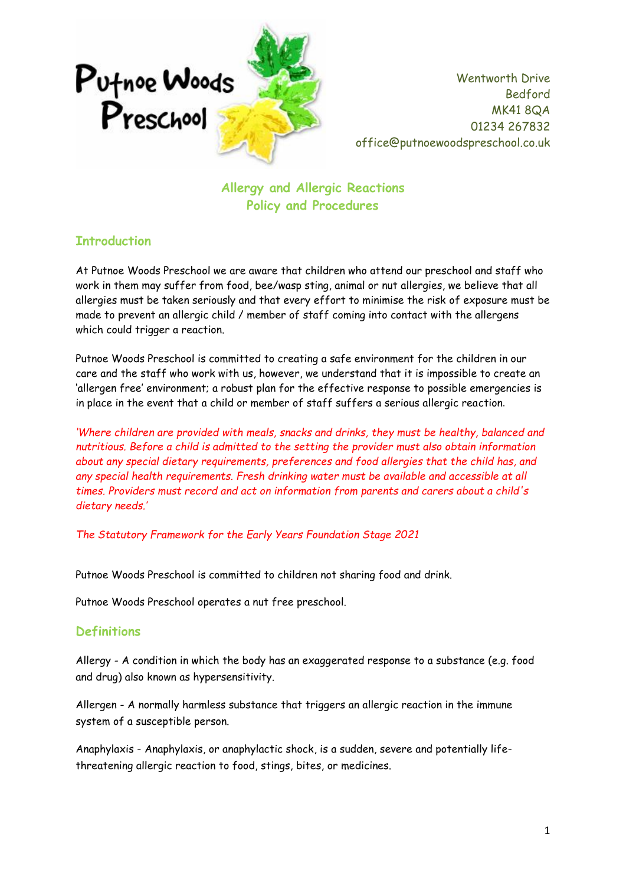

**Allergy and Allergic Reactions Policy and Procedures**

## **Introduction**

At Putnoe Woods Preschool we are aware that children who attend our preschool and staff who work in them may suffer from food, bee/wasp sting, animal or nut allergies, we believe that all allergies must be taken seriously and that every effort to minimise the risk of exposure must be made to prevent an allergic child / member of staff coming into contact with the allergens which could trigger a reaction.

Putnoe Woods Preschool is committed to creating a safe environment for the children in our care and the staff who work with us, however, we understand that it is impossible to create an 'allergen free' environment; a robust plan for the effective response to possible emergencies is in place in the event that a child or member of staff suffers a serious allergic reaction.

*'Where children are provided with meals, snacks and drinks, they must be healthy, balanced and nutritious. Before a child is admitted to the setting the provider must also obtain information about any special dietary requirements, preferences and food allergies that the child has, and any special health requirements. Fresh drinking water must be available and accessible at all times. Providers must record and act on information from parents and carers about a child's dietary needs.'*

*The Statutory Framework for the Early Years Foundation Stage 2021*

Putnoe Woods Preschool is committed to children not sharing food and drink.

Putnoe Woods Preschool operates a nut free preschool.

### **Definitions**

Allergy - A condition in which the body has an exaggerated response to a substance (e.g. food and drug) also known as hypersensitivity.

Allergen - A normally harmless substance that triggers an allergic reaction in the immune system of a susceptible person.

Anaphylaxis - Anaphylaxis, or anaphylactic shock, is a sudden, severe and potentially lifethreatening allergic reaction to food, stings, bites, or medicines.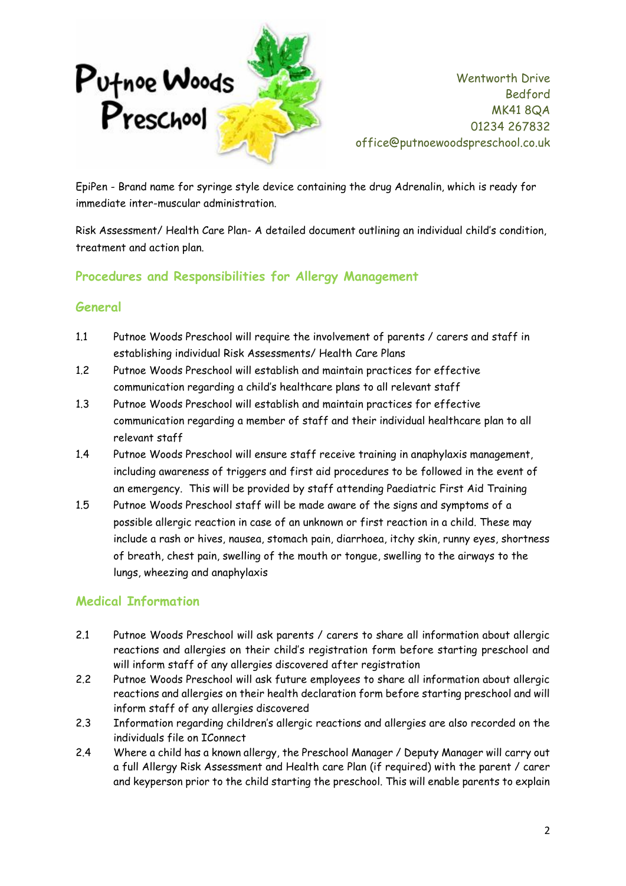

EpiPen - Brand name for syringe style device containing the drug Adrenalin, which is ready for immediate inter-muscular administration.

Risk Assessment/ Health Care Plan- A detailed document outlining an individual child's condition, treatment and action plan.

## **Procedures and Responsibilities for Allergy Management**

## **General**

- 1.1 Putnoe Woods Preschool will require the involvement of parents / carers and staff in establishing individual Risk Assessments/ Health Care Plans
- 1.2 Putnoe Woods Preschool will establish and maintain practices for effective communication regarding a child's healthcare plans to all relevant staff
- 1.3 Putnoe Woods Preschool will establish and maintain practices for effective communication regarding a member of staff and their individual healthcare plan to all relevant staff
- 1.4 Putnoe Woods Preschool will ensure staff receive training in anaphylaxis management, including awareness of triggers and first aid procedures to be followed in the event of an emergency. This will be provided by staff attending Paediatric First Aid Training
- 1.5 Putnoe Woods Preschool staff will be made aware of the signs and symptoms of a possible allergic reaction in case of an unknown or first reaction in a child. These may include a rash or hives, nausea, stomach pain, diarrhoea, itchy skin, runny eyes, shortness of breath, chest pain, swelling of the mouth or tongue, swelling to the airways to the lungs, wheezing and anaphylaxis

### **Medical Information**

- 2.1 Putnoe Woods Preschool will ask parents / carers to share all information about allergic reactions and allergies on their child's registration form before starting preschool and will inform staff of any allergies discovered after registration
- 2.2 Putnoe Woods Preschool will ask future employees to share all information about allergic reactions and allergies on their health declaration form before starting preschool and will inform staff of any allergies discovered
- 2.3 Information regarding children's allergic reactions and allergies are also recorded on the individuals file on IConnect
- 2.4 Where a child has a known allergy, the Preschool Manager / Deputy Manager will carry out a full Allergy Risk Assessment and Health care Plan (if required) with the parent / carer and keyperson prior to the child starting the preschool. This will enable parents to explain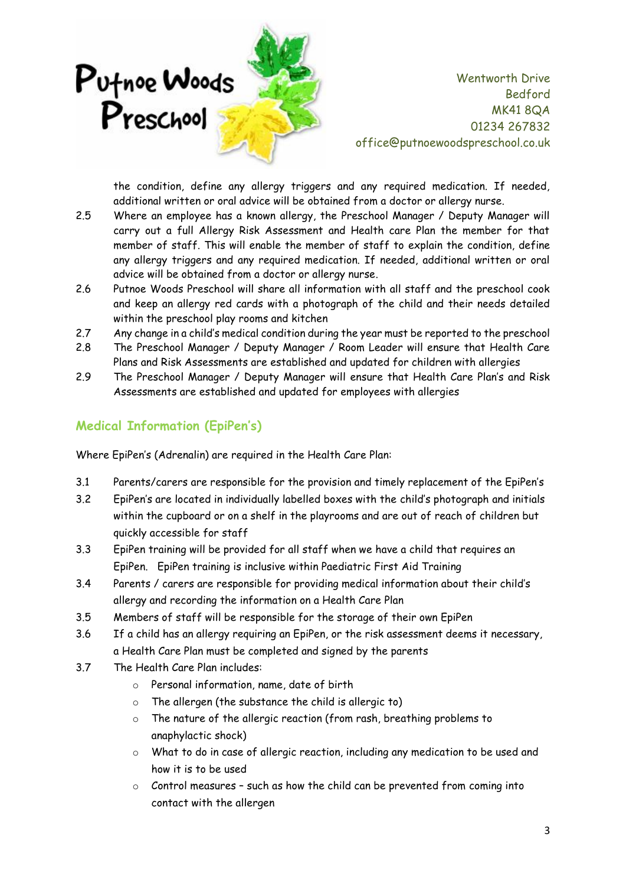

the condition, define any allergy triggers and any required medication. If needed, additional written or oral advice will be obtained from a doctor or allergy nurse.

- 2.5 Where an employee has a known allergy, the Preschool Manager / Deputy Manager will carry out a full Allergy Risk Assessment and Health care Plan the member for that member of staff. This will enable the member of staff to explain the condition, define any allergy triggers and any required medication. If needed, additional written or oral advice will be obtained from a doctor or allergy nurse.
- 2.6 Putnoe Woods Preschool will share all information with all staff and the preschool cook and keep an allergy red cards with a photograph of the child and their needs detailed within the preschool play rooms and kitchen
- 2.7 Any change in a child's medical condition during the year must be reported to the preschool
- 2.8 The Preschool Manager / Deputy Manager / Room Leader will ensure that Health Care Plans and Risk Assessments are established and updated for children with allergies
- 2.9 The Preschool Manager / Deputy Manager will ensure that Health Care Plan's and Risk Assessments are established and updated for employees with allergies

## **Medical Information (EpiPen's)**

Where EpiPen's (Adrenalin) are required in the Health Care Plan:

- 3.1 Parents/carers are responsible for the provision and timely replacement of the EpiPen's
- 3.2 EpiPen's are located in individually labelled boxes with the child's photograph and initials within the cupboard or on a shelf in the playrooms and are out of reach of children but quickly accessible for staff
- 3.3 EpiPen training will be provided for all staff when we have a child that requires an EpiPen. EpiPen training is inclusive within Paediatric First Aid Training
- 3.4 Parents / carers are responsible for providing medical information about their child's allergy and recording the information on a Health Care Plan
- 3.5 Members of staff will be responsible for the storage of their own EpiPen
- 3.6 If a child has an allergy requiring an EpiPen, or the risk assessment deems it necessary, a Health Care Plan must be completed and signed by the parents
- 3.7 The Health Care Plan includes:
	- o Personal information, name, date of birth
	- o The allergen (the substance the child is allergic to)
	- o The nature of the allergic reaction (from rash, breathing problems to anaphylactic shock)
	- $\circ$  What to do in case of allergic reaction, including any medication to be used and how it is to be used
	- o Control measures such as how the child can be prevented from coming into contact with the allergen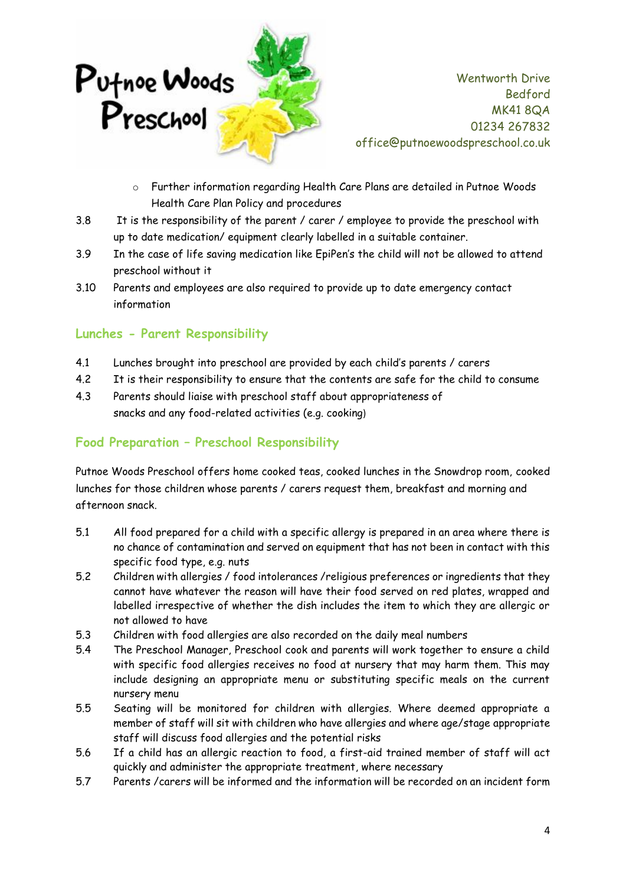

- o Further information regarding Health Care Plans are detailed in Putnoe Woods Health Care Plan Policy and procedures
- 3.8 It is the responsibility of the parent / carer / employee to provide the preschool with up to date medication/ equipment clearly labelled in a suitable container.
- 3.9 In the case of life saving medication like EpiPen's the child will not be allowed to attend preschool without it
- 3.10 Parents and employees are also required to provide up to date emergency contact information

#### **Lunches - Parent Responsibility**

- 4.1 Lunches brought into preschool are provided by each child's parents / carers
- 4.2 It is their responsibility to ensure that the contents are safe for the child to consume
- 4.3 Parents should liaise with preschool staff about appropriateness of snacks and any food-related activities (e.g. cooking)

## **Food Preparation – Preschool Responsibility**

Putnoe Woods Preschool offers home cooked teas, cooked lunches in the Snowdrop room, cooked lunches for those children whose parents / carers request them, breakfast and morning and afternoon snack.

- 5.1 All food prepared for a child with a specific allergy is prepared in an area where there is no chance of contamination and served on equipment that has not been in contact with this specific food type, e.g. nuts
- 5.2 Children with allergies / food intolerances /religious preferences or ingredients that they cannot have whatever the reason will have their food served on red plates, wrapped and labelled irrespective of whether the dish includes the item to which they are allergic or not allowed to have
- 5.3 Children with food allergies are also recorded on the daily meal numbers
- 5.4 The Preschool Manager, Preschool cook and parents will work together to ensure a child with specific food allergies receives no food at nursery that may harm them. This may include designing an appropriate menu or substituting specific meals on the current nursery menu
- 5.5 Seating will be monitored for children with allergies. Where deemed appropriate a member of staff will sit with children who have allergies and where age/stage appropriate staff will discuss food allergies and the potential risks
- 5.6 If a child has an allergic reaction to food, a first-aid trained member of staff will act quickly and administer the appropriate treatment, where necessary
- 5.7 Parents /carers will be informed and the information will be recorded on an incident form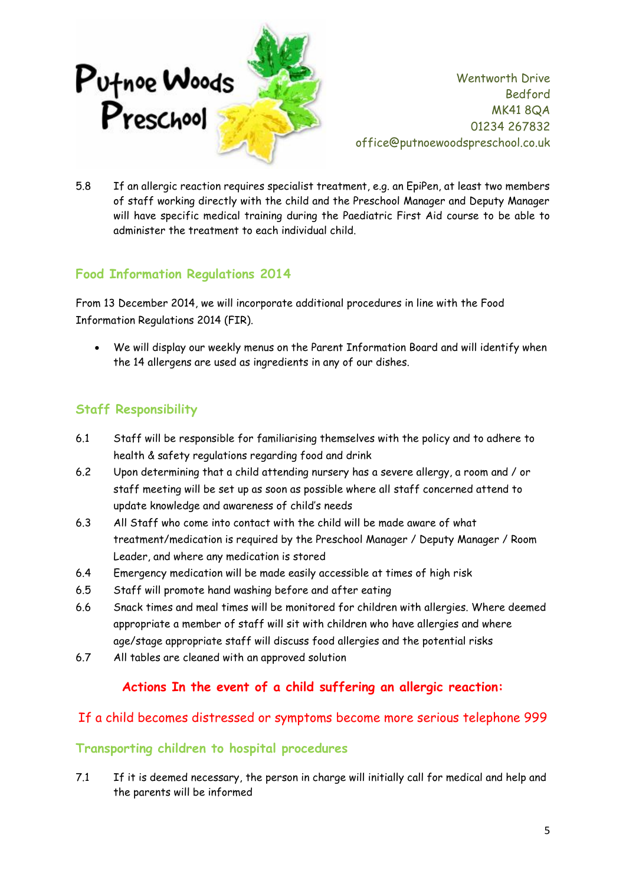

5.8 If an allergic reaction requires specialist treatment, e.g. an EpiPen, at least two members of staff working directly with the child and the Preschool Manager and Deputy Manager will have specific medical training during the Paediatric First Aid course to be able to administer the treatment to each individual child.

## **Food Information Regulations 2014**

From 13 December 2014, we will incorporate additional procedures in line with the Food Information Regulations 2014 (FIR).

• We will display our weekly menus on the Parent Information Board and will identify when the 14 allergens are used as ingredients in any of our dishes.

## **Staff Responsibility**

- 6.1 Staff will be responsible for familiarising themselves with the policy and to adhere to health & safety regulations regarding food and drink
- 6.2 Upon determining that a child attending nursery has a severe allergy, a room and / or staff meeting will be set up as soon as possible where all staff concerned attend to update knowledge and awareness of child's needs
- 6.3 All Staff who come into contact with the child will be made aware of what treatment/medication is required by the Preschool Manager / Deputy Manager / Room Leader, and where any medication is stored
- 6.4 Emergency medication will be made easily accessible at times of high risk
- 6.5 Staff will promote hand washing before and after eating
- 6.6 Snack times and meal times will be monitored for children with allergies. Where deemed appropriate a member of staff will sit with children who have allergies and where age/stage appropriate staff will discuss food allergies and the potential risks
- 6.7 All tables are cleaned with an approved solution

### **Actions In the event of a child suffering an allergic reaction:**

### If a child becomes distressed or symptoms become more serious telephone 999

#### **Transporting children to hospital procedures**

7.1 If it is deemed necessary, the person in charge will initially call for medical and help and the parents will be informed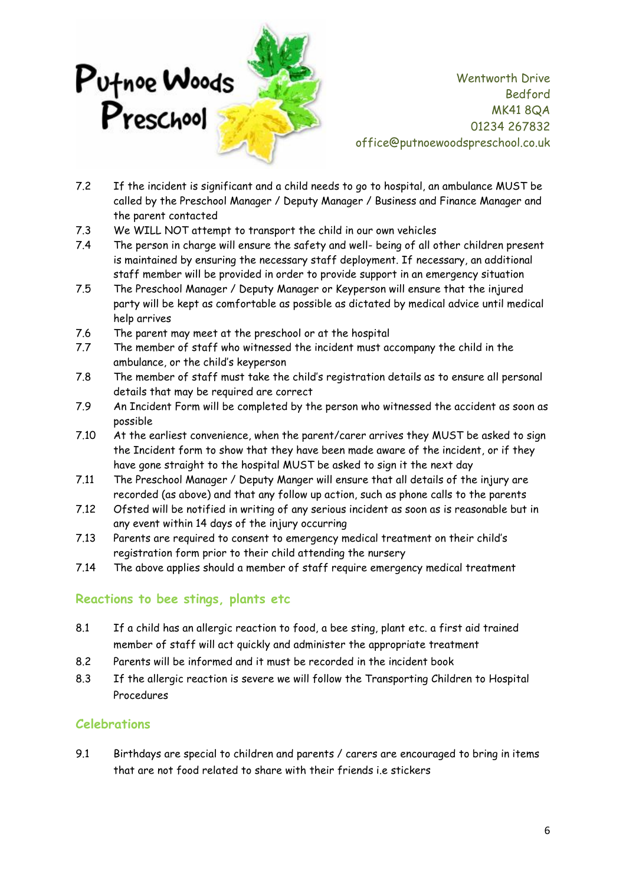

- 7.2 If the incident is significant and a child needs to go to hospital, an ambulance MUST be called by the Preschool Manager / Deputy Manager / Business and Finance Manager and the parent contacted
- 7.3 We WILL NOT attempt to transport the child in our own vehicles
- 7.4 The person in charge will ensure the safety and well- being of all other children present is maintained by ensuring the necessary staff deployment. If necessary, an additional staff member will be provided in order to provide support in an emergency situation
- 7.5 The Preschool Manager / Deputy Manager or Keyperson will ensure that the injured party will be kept as comfortable as possible as dictated by medical advice until medical help arrives
- 7.6 The parent may meet at the preschool or at the hospital
- 7.7 The member of staff who witnessed the incident must accompany the child in the ambulance, or the child's keyperson
- 7.8 The member of staff must take the child's registration details as to ensure all personal details that may be required are correct
- 7.9 An Incident Form will be completed by the person who witnessed the accident as soon as possible
- 7.10 At the earliest convenience, when the parent/carer arrives they MUST be asked to sign the Incident form to show that they have been made aware of the incident, or if they have gone straight to the hospital MUST be asked to sign it the next day
- 7.11 The Preschool Manager / Deputy Manger will ensure that all details of the injury are recorded (as above) and that any follow up action, such as phone calls to the parents
- 7.12 Ofsted will be notified in writing of any serious incident as soon as is reasonable but in any event within 14 days of the injury occurring
- 7.13 Parents are required to consent to emergency medical treatment on their child's registration form prior to their child attending the nursery
- 7.14 The above applies should a member of staff require emergency medical treatment

### **Reactions to bee stings, plants etc**

- 8.1 If a child has an allergic reaction to food, a bee sting, plant etc. a first aid trained member of staff will act quickly and administer the appropriate treatment
- 8.2 Parents will be informed and it must be recorded in the incident book
- 8.3 If the allergic reaction is severe we will follow the Transporting Children to Hospital Procedures

### **Celebrations**

9.1 Birthdays are special to children and parents / carers are encouraged to bring in items that are not food related to share with their friends i.e stickers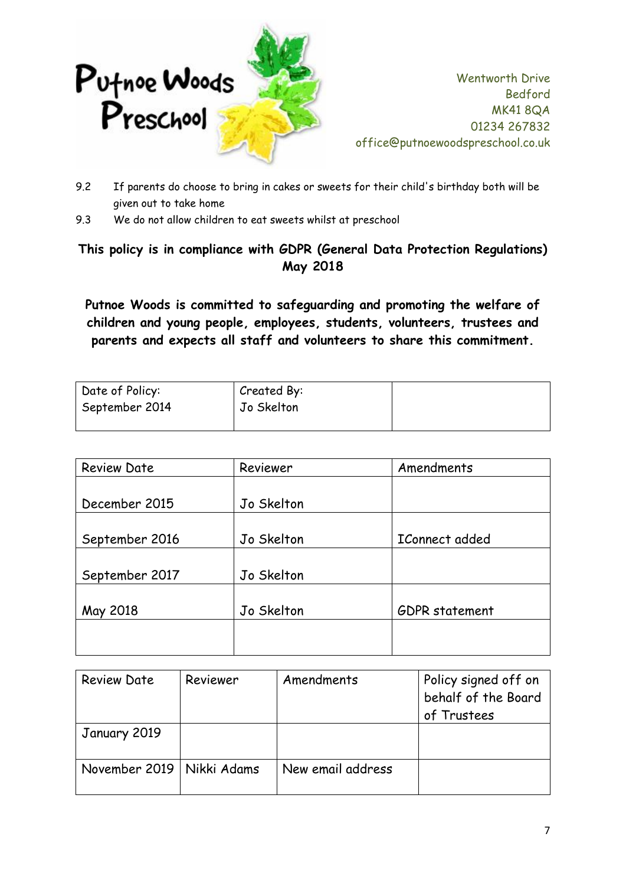

- 9.2 If parents do choose to bring in cakes or sweets for their child's birthday both will be given out to take home
- 9.3 We do not allow children to eat sweets whilst at preschool

# **This policy is in compliance with GDPR (General Data Protection Regulations) May 2018**

**Putnoe Woods is committed to safeguarding and promoting the welfare of children and young people, employees, students, volunteers, trustees and parents and expects all staff and volunteers to share this commitment.**

| Date of Policy: | Created By: |  |
|-----------------|-------------|--|
| September 2014  | Jo Skelton  |  |
|                 |             |  |

| <b>Review Date</b> | Reviewer   | Amendments     |
|--------------------|------------|----------------|
|                    |            |                |
| December 2015      | Jo Skelton |                |
|                    |            |                |
| September 2016     | Jo Skelton | IConnect added |
|                    |            |                |
| September 2017     | Jo Skelton |                |
|                    |            |                |
| May 2018           | Jo Skelton | GDPR statement |
|                    |            |                |
|                    |            |                |

| Review Date                 | Reviewer | Amendments        | Policy signed off on<br>behalf of the Board<br>of Trustees |
|-----------------------------|----------|-------------------|------------------------------------------------------------|
| January 2019                |          |                   |                                                            |
| November 2019   Nikki Adams |          | New email address |                                                            |